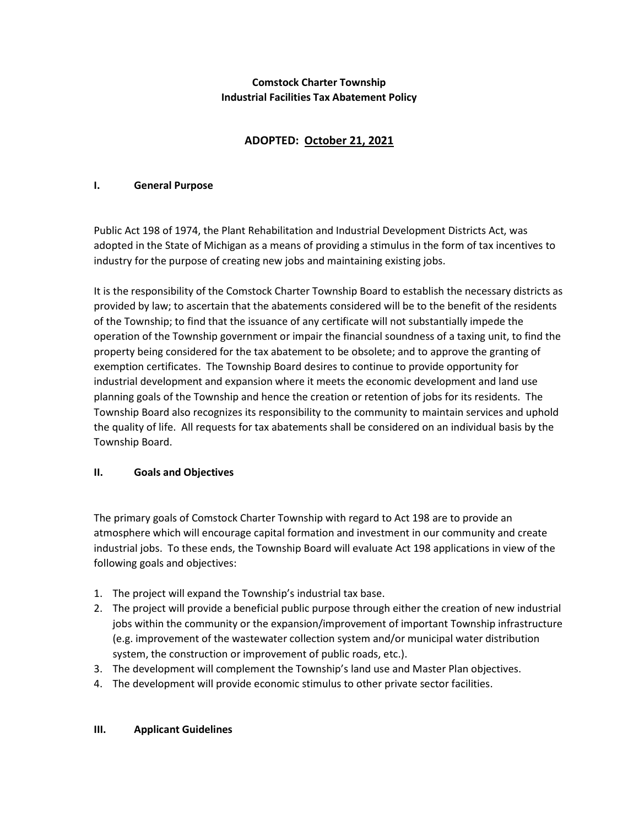## Comstock Charter Township Industrial Facilities Tax Abatement Policy

# ADOPTED: October 21, 2021

#### I. General Purpose

Public Act 198 of 1974, the Plant Rehabilitation and Industrial Development Districts Act, was adopted in the State of Michigan as a means of providing a stimulus in the form of tax incentives to industry for the purpose of creating new jobs and maintaining existing jobs.

It is the responsibility of the Comstock Charter Township Board to establish the necessary districts as provided by law; to ascertain that the abatements considered will be to the benefit of the residents of the Township; to find that the issuance of any certificate will not substantially impede the operation of the Township government or impair the financial soundness of a taxing unit, to find the property being considered for the tax abatement to be obsolete; and to approve the granting of exemption certificates. The Township Board desires to continue to provide opportunity for industrial development and expansion where it meets the economic development and land use planning goals of the Township and hence the creation or retention of jobs for its residents. The Township Board also recognizes its responsibility to the community to maintain services and uphold the quality of life. All requests for tax abatements shall be considered on an individual basis by the Township Board.

#### II. Goals and Objectives

The primary goals of Comstock Charter Township with regard to Act 198 are to provide an atmosphere which will encourage capital formation and investment in our community and create industrial jobs. To these ends, the Township Board will evaluate Act 198 applications in view of the following goals and objectives:

- 1. The project will expand the Township's industrial tax base.
- 2. The project will provide a beneficial public purpose through either the creation of new industrial jobs within the community or the expansion/improvement of important Township infrastructure (e.g. improvement of the wastewater collection system and/or municipal water distribution system, the construction or improvement of public roads, etc.).
- 3. The development will complement the Township's land use and Master Plan objectives.
- 4. The development will provide economic stimulus to other private sector facilities.

#### III. Applicant Guidelines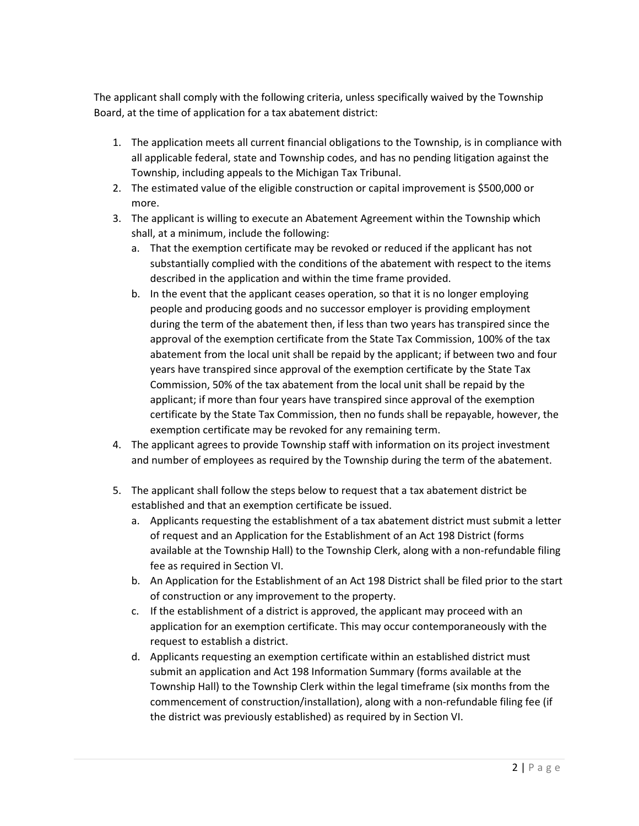The applicant shall comply with the following criteria, unless specifically waived by the Township Board, at the time of application for a tax abatement district:

- 1. The application meets all current financial obligations to the Township, is in compliance with all applicable federal, state and Township codes, and has no pending litigation against the Township, including appeals to the Michigan Tax Tribunal.
- 2. The estimated value of the eligible construction or capital improvement is \$500,000 or more.
- 3. The applicant is willing to execute an Abatement Agreement within the Township which shall, at a minimum, include the following:
	- a. That the exemption certificate may be revoked or reduced if the applicant has not substantially complied with the conditions of the abatement with respect to the items described in the application and within the time frame provided.
	- b. In the event that the applicant ceases operation, so that it is no longer employing people and producing goods and no successor employer is providing employment during the term of the abatement then, if less than two years has transpired since the approval of the exemption certificate from the State Tax Commission, 100% of the tax abatement from the local unit shall be repaid by the applicant; if between two and four years have transpired since approval of the exemption certificate by the State Tax Commission, 50% of the tax abatement from the local unit shall be repaid by the applicant; if more than four years have transpired since approval of the exemption certificate by the State Tax Commission, then no funds shall be repayable, however, the exemption certificate may be revoked for any remaining term.
- 4. The applicant agrees to provide Township staff with information on its project investment and number of employees as required by the Township during the term of the abatement.
- 5. The applicant shall follow the steps below to request that a tax abatement district be established and that an exemption certificate be issued.
	- a. Applicants requesting the establishment of a tax abatement district must submit a letter of request and an Application for the Establishment of an Act 198 District (forms available at the Township Hall) to the Township Clerk, along with a non-refundable filing fee as required in Section VI.
	- b. An Application for the Establishment of an Act 198 District shall be filed prior to the start of construction or any improvement to the property.
	- c. If the establishment of a district is approved, the applicant may proceed with an application for an exemption certificate. This may occur contemporaneously with the request to establish a district.
	- d. Applicants requesting an exemption certificate within an established district must submit an application and Act 198 Information Summary (forms available at the Township Hall) to the Township Clerk within the legal timeframe (six months from the commencement of construction/installation), along with a non-refundable filing fee (if the district was previously established) as required by in Section VI.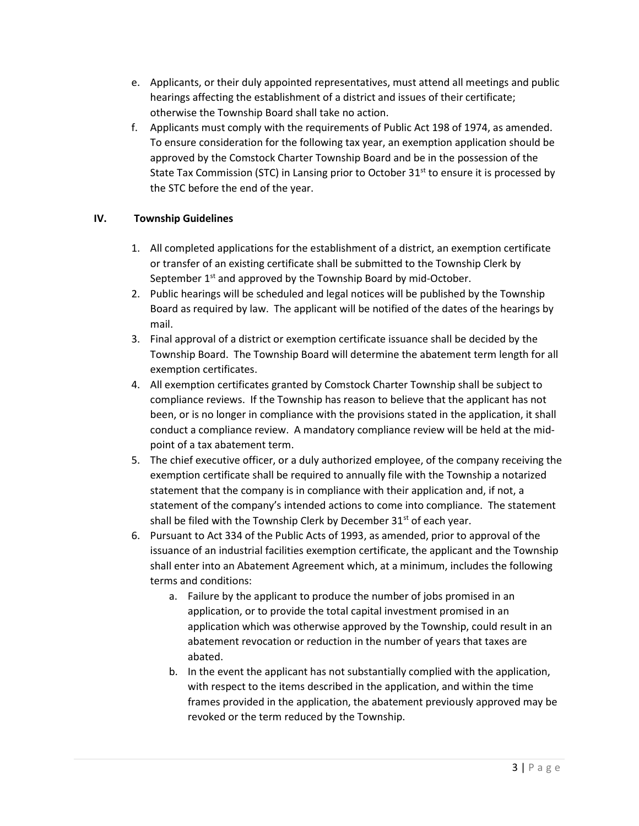- e. Applicants, or their duly appointed representatives, must attend all meetings and public hearings affecting the establishment of a district and issues of their certificate; otherwise the Township Board shall take no action.
- f. Applicants must comply with the requirements of Public Act 198 of 1974, as amended. To ensure consideration for the following tax year, an exemption application should be approved by the Comstock Charter Township Board and be in the possession of the State Tax Commission (STC) in Lansing prior to October  $31<sup>st</sup>$  to ensure it is processed by the STC before the end of the year.

# IV. Township Guidelines

- 1. All completed applications for the establishment of a district, an exemption certificate or transfer of an existing certificate shall be submitted to the Township Clerk by September 1<sup>st</sup> and approved by the Township Board by mid-October.
- 2. Public hearings will be scheduled and legal notices will be published by the Township Board as required by law. The applicant will be notified of the dates of the hearings by mail.
- 3. Final approval of a district or exemption certificate issuance shall be decided by the Township Board. The Township Board will determine the abatement term length for all exemption certificates.
- 4. All exemption certificates granted by Comstock Charter Township shall be subject to compliance reviews. If the Township has reason to believe that the applicant has not been, or is no longer in compliance with the provisions stated in the application, it shall conduct a compliance review. A mandatory compliance review will be held at the midpoint of a tax abatement term.
- 5. The chief executive officer, or a duly authorized employee, of the company receiving the exemption certificate shall be required to annually file with the Township a notarized statement that the company is in compliance with their application and, if not, a statement of the company's intended actions to come into compliance. The statement shall be filed with the Township Clerk by December  $31<sup>st</sup>$  of each year.
- 6. Pursuant to Act 334 of the Public Acts of 1993, as amended, prior to approval of the issuance of an industrial facilities exemption certificate, the applicant and the Township shall enter into an Abatement Agreement which, at a minimum, includes the following terms and conditions:
	- a. Failure by the applicant to produce the number of jobs promised in an application, or to provide the total capital investment promised in an application which was otherwise approved by the Township, could result in an abatement revocation or reduction in the number of years that taxes are abated.
	- b. In the event the applicant has not substantially complied with the application, with respect to the items described in the application, and within the time frames provided in the application, the abatement previously approved may be revoked or the term reduced by the Township.